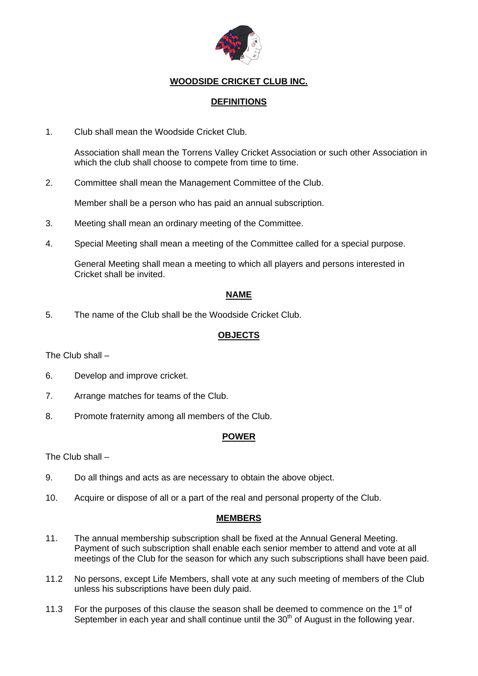

# **WOODSIDE CRICKET CLUB INC.**

## **DEFINITIONS**

1. Club shall mean the Woodside Cricket Club.

Association shall mean the Torrens Valley Cricket Association or such other Association in which the club shall choose to compete from time to time.

2. Committee shall mean the Management Committee of the Club.

Member shall be a person who has paid an annual subscription.

- 3. Meeting shall mean an ordinary meeting of the Committee.
- 4. Special Meeting shall mean a meeting of the Committee called for a special purpose.

General Meeting shall mean a meeting to which all players and persons interested in Cricket shall be invited.

## **NAME**

5. The name of the Club shall be the Woodside Cricket Club.

### **OBJECTS**

The Club shall –

- 6. Develop and improve cricket.
- 7. Arrange matches for teams of the Club.
- 8. Promote fraternity among all members of the Club.

## **POWER**

The Club shall –

- 9. Do all things and acts as are necessary to obtain the above object.
- 10. Acquire or dispose of all or a part of the real and personal property of the Club.

### **MEMBERS**

- 11. The annual membership subscription shall be fixed at the Annual General Meeting. Payment of such subscription shall enable each senior member to attend and vote at all meetings of the Club for the season for which any such subscriptions shall have been paid.
- 11.2 No persons, except Life Members, shall vote at any such meeting of members of the Club unless his subscriptions have been duly paid.
- 11.3 For the purposes of this clause the season shall be deemed to commence on the  $1<sup>st</sup>$  of September in each year and shall continue until the  $30<sup>th</sup>$  of August in the following year.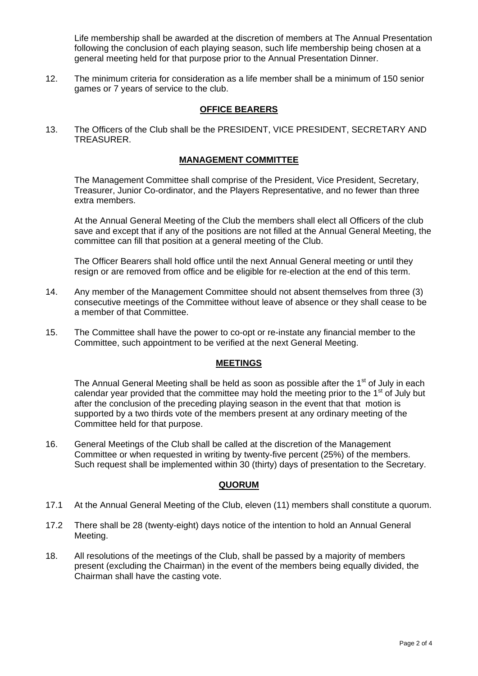Life membership shall be awarded at the discretion of members at The Annual Presentation following the conclusion of each playing season, such life membership being chosen at a general meeting held for that purpose prior to the Annual Presentation Dinner.

12. The minimum criteria for consideration as a life member shall be a minimum of 150 senior games or 7 years of service to the club.

#### **OFFICE BEARERS**

13. The Officers of the Club shall be the PRESIDENT, VICE PRESIDENT, SECRETARY AND TREASURER.

#### **MANAGEMENT COMMITTEE**

The Management Committee shall comprise of the President, Vice President, Secretary, Treasurer, Junior Co-ordinator, and the Players Representative, and no fewer than three extra members.

At the Annual General Meeting of the Club the members shall elect all Officers of the club save and except that if any of the positions are not filled at the Annual General Meeting, the committee can fill that position at a general meeting of the Club.

The Officer Bearers shall hold office until the next Annual General meeting or until they resign or are removed from office and be eligible for re-election at the end of this term.

- 14. Any member of the Management Committee should not absent themselves from three (3) consecutive meetings of the Committee without leave of absence or they shall cease to be a member of that Committee.
- 15. The Committee shall have the power to co-opt or re-instate any financial member to the Committee, such appointment to be verified at the next General Meeting.

#### **MEETINGS**

The Annual General Meeting shall be held as soon as possible after the  $1<sup>st</sup>$  of July in each calendar year provided that the committee may hold the meeting prior to the  $1<sup>st</sup>$  of July but after the conclusion of the preceding playing season in the event that that motion is supported by a two thirds vote of the members present at any ordinary meeting of the Committee held for that purpose.

16. General Meetings of the Club shall be called at the discretion of the Management Committee or when requested in writing by twenty-five percent (25%) of the members. Such request shall be implemented within 30 (thirty) days of presentation to the Secretary.

### **QUORUM**

- 17.1 At the Annual General Meeting of the Club, eleven (11) members shall constitute a quorum.
- 17.2 There shall be 28 (twenty-eight) days notice of the intention to hold an Annual General Meeting.
- 18. All resolutions of the meetings of the Club, shall be passed by a majority of members present (excluding the Chairman) in the event of the members being equally divided, the Chairman shall have the casting vote.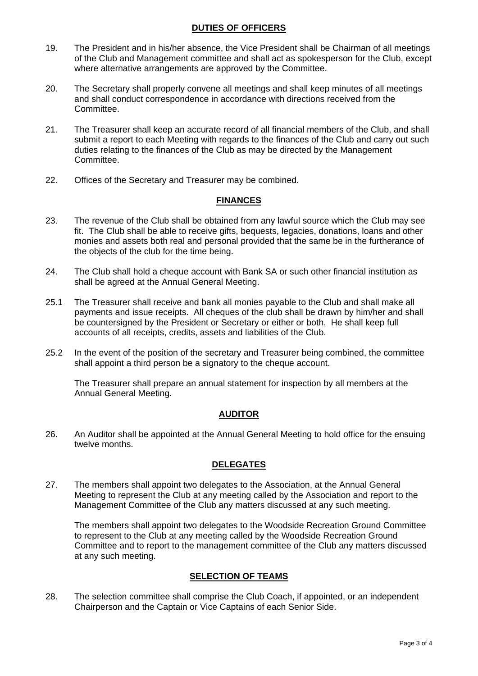### **DUTIES OF OFFICERS**

- 19. The President and in his/her absence, the Vice President shall be Chairman of all meetings of the Club and Management committee and shall act as spokesperson for the Club, except where alternative arrangements are approved by the Committee.
- 20. The Secretary shall properly convene all meetings and shall keep minutes of all meetings and shall conduct correspondence in accordance with directions received from the Committee.
- 21. The Treasurer shall keep an accurate record of all financial members of the Club, and shall submit a report to each Meeting with regards to the finances of the Club and carry out such duties relating to the finances of the Club as may be directed by the Management Committee.
- 22. Offices of the Secretary and Treasurer may be combined.

### **FINANCES**

- 23. The revenue of the Club shall be obtained from any lawful source which the Club may see fit. The Club shall be able to receive gifts, bequests, legacies, donations, loans and other monies and assets both real and personal provided that the same be in the furtherance of the objects of the club for the time being.
- 24. The Club shall hold a cheque account with Bank SA or such other financial institution as shall be agreed at the Annual General Meeting.
- 25.1 The Treasurer shall receive and bank all monies payable to the Club and shall make all payments and issue receipts. All cheques of the club shall be drawn by him/her and shall be countersigned by the President or Secretary or either or both. He shall keep full accounts of all receipts, credits, assets and liabilities of the Club.
- 25.2 In the event of the position of the secretary and Treasurer being combined, the committee shall appoint a third person be a signatory to the cheque account.

The Treasurer shall prepare an annual statement for inspection by all members at the Annual General Meeting.

### **AUDITOR**

26. An Auditor shall be appointed at the Annual General Meeting to hold office for the ensuing twelve months.

### **DELEGATES**

27. The members shall appoint two delegates to the Association, at the Annual General Meeting to represent the Club at any meeting called by the Association and report to the Management Committee of the Club any matters discussed at any such meeting.

The members shall appoint two delegates to the Woodside Recreation Ground Committee to represent to the Club at any meeting called by the Woodside Recreation Ground Committee and to report to the management committee of the Club any matters discussed at any such meeting.

### **SELECTION OF TEAMS**

28. The selection committee shall comprise the Club Coach, if appointed, or an independent Chairperson and the Captain or Vice Captains of each Senior Side.